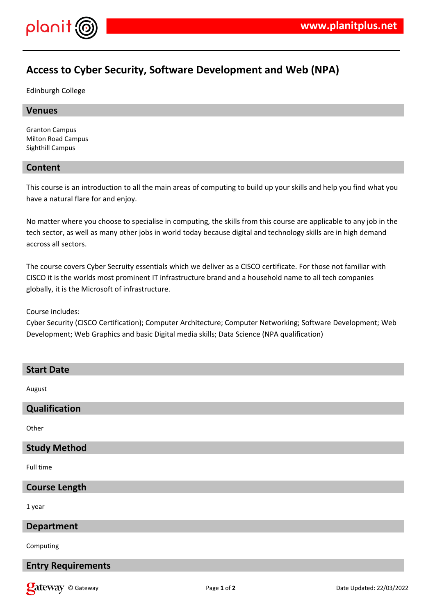

# **Access to Cyber Security, Software Development and Web (NPA)**

Edinburgh College

#### **Venues**

Granton Campus Milton Road Campus Sighthill Campus

### **Content**

This course is an introduction to all the main areas of computing to build up your skills and help you find what you have a natural flare for and enjoy.

No matter where you choose to specialise in computing, the skills from this course are applicable to any job in the tech sector, as well as many other jobs in world today because digital and technology skills are in high demand accross all sectors.

The course covers Cyber Secruity essentials which we deliver as a CISCO certificate. For those not familiar with CISCO it is the worlds most prominent IT infrastructure brand and a household name to all tech companies globally, it is the Microsoft of infrastructure.

Course includes:

Cyber Security (CISCO Certification); Computer Architecture; Computer Networking; Software Development; Web Development; Web Graphics and basic Digital media skills; Data Science (NPA qualification)

| <b>Start Date</b>                    |
|--------------------------------------|
| August                               |
| Qualification                        |
| Other                                |
| <b>Study Method</b>                  |
| Full time                            |
| <b>Course Length</b>                 |
| 1 year                               |
| <b>Department</b>                    |
| Computing                            |
| $  -$<br>$\bullet$<br>$\blacksquare$ |

# **Entry Requirements**